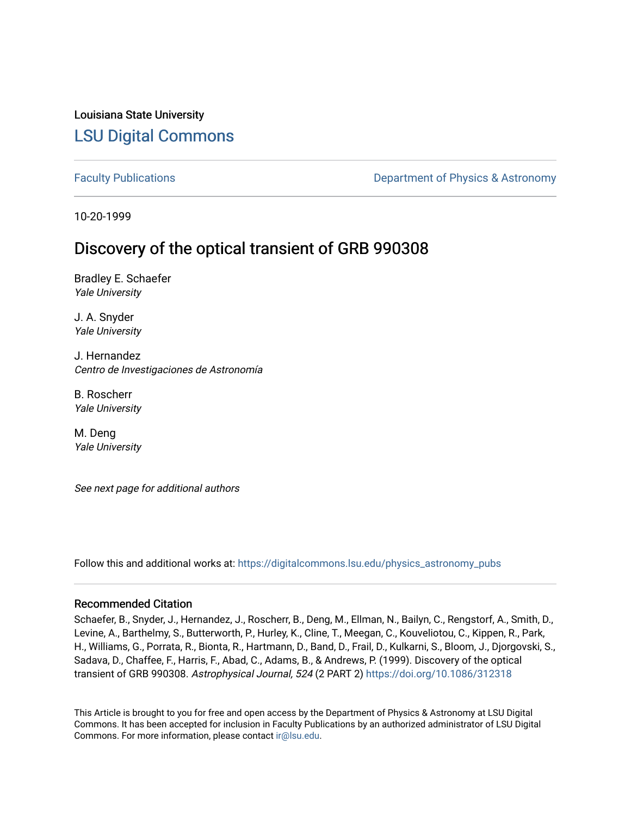# Louisiana State University [LSU Digital Commons](https://digitalcommons.lsu.edu/)

[Faculty Publications](https://digitalcommons.lsu.edu/physics_astronomy_pubs) **Exercise 2 and Table 2 and Table 2 and Table 2 and Table 2 and Table 2 and Table 2 and Table 2 and Table 2 and Table 2 and Table 2 and Table 2 and Table 2 and Table 2 and Table 2 and Table 2 and Table** 

10-20-1999

# Discovery of the optical transient of GRB 990308

Bradley E. Schaefer Yale University

J. A. Snyder Yale University

J. Hernandez Centro de Investigaciones de Astronomía

B. Roscherr Yale University

M. Deng Yale University

See next page for additional authors

Follow this and additional works at: [https://digitalcommons.lsu.edu/physics\\_astronomy\\_pubs](https://digitalcommons.lsu.edu/physics_astronomy_pubs?utm_source=digitalcommons.lsu.edu%2Fphysics_astronomy_pubs%2F4774&utm_medium=PDF&utm_campaign=PDFCoverPages) 

#### Recommended Citation

Schaefer, B., Snyder, J., Hernandez, J., Roscherr, B., Deng, M., Ellman, N., Bailyn, C., Rengstorf, A., Smith, D., Levine, A., Barthelmy, S., Butterworth, P., Hurley, K., Cline, T., Meegan, C., Kouveliotou, C., Kippen, R., Park, H., Williams, G., Porrata, R., Bionta, R., Hartmann, D., Band, D., Frail, D., Kulkarni, S., Bloom, J., Djorgovski, S., Sadava, D., Chaffee, F., Harris, F., Abad, C., Adams, B., & Andrews, P. (1999). Discovery of the optical transient of GRB 990308. Astrophysical Journal, 524 (2 PART 2)<https://doi.org/10.1086/312318>

This Article is brought to you for free and open access by the Department of Physics & Astronomy at LSU Digital Commons. It has been accepted for inclusion in Faculty Publications by an authorized administrator of LSU Digital Commons. For more information, please contact [ir@lsu.edu](mailto:ir@lsu.edu).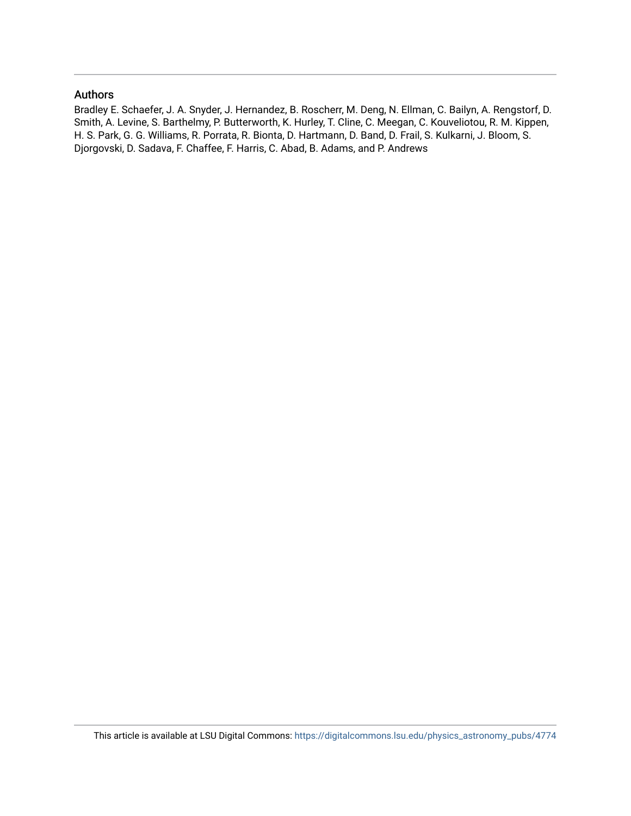### Authors

Bradley E. Schaefer, J. A. Snyder, J. Hernandez, B. Roscherr, M. Deng, N. Ellman, C. Bailyn, A. Rengstorf, D. Smith, A. Levine, S. Barthelmy, P. Butterworth, K. Hurley, T. Cline, C. Meegan, C. Kouveliotou, R. M. Kippen, H. S. Park, G. G. Williams, R. Porrata, R. Bionta, D. Hartmann, D. Band, D. Frail, S. Kulkarni, J. Bloom, S. Djorgovski, D. Sadava, F. Chaffee, F. Harris, C. Abad, B. Adams, and P. Andrews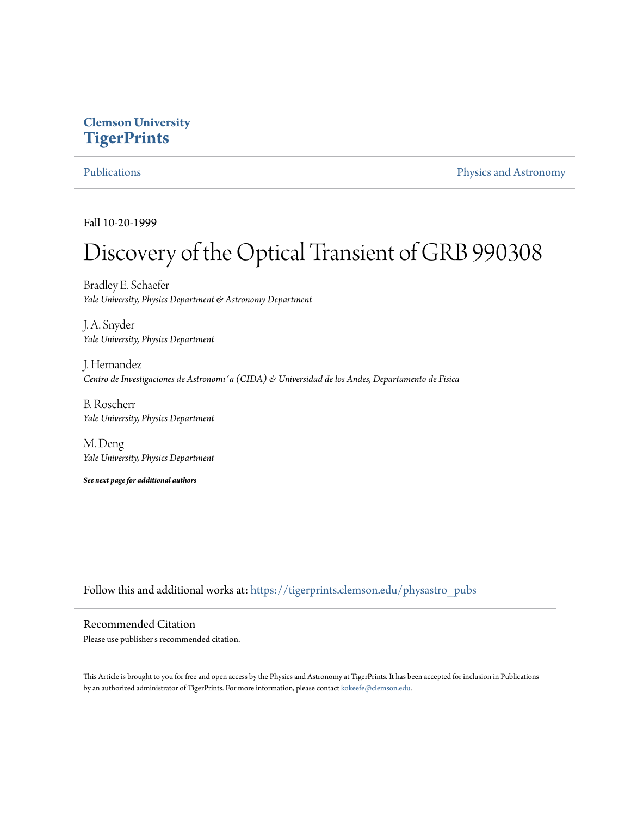## **Clemson University [TigerPrints](https://tigerprints.clemson.edu?utm_source=tigerprints.clemson.edu%2Fphysastro_pubs%2F34&utm_medium=PDF&utm_campaign=PDFCoverPages)**

[Publications](https://tigerprints.clemson.edu/physastro_pubs?utm_source=tigerprints.clemson.edu%2Fphysastro_pubs%2F34&utm_medium=PDF&utm_campaign=PDFCoverPages) [Physics and Astronomy](https://tigerprints.clemson.edu/physastro?utm_source=tigerprints.clemson.edu%2Fphysastro_pubs%2F34&utm_medium=PDF&utm_campaign=PDFCoverPages)

Fall 10-20-1999

# Discovery of the Optical Transient of GRB 990308

Bradley E. Schaefer *Yale University, Physics Department & Astronomy Department*

J. A. Snyder *Yale University, Physics Department*

J. Hernandez *Centro de Investigaciones de Astronomı´a (CIDA) & Universidad de los Andes, Departamento de Fisica*

B. Roscherr *Yale University, Physics Department*

M. Deng *Yale University, Physics Department*

*See next page for additional authors*

Follow this and additional works at: [https://tigerprints.clemson.edu/physastro\\_pubs](https://tigerprints.clemson.edu/physastro_pubs?utm_source=tigerprints.clemson.edu%2Fphysastro_pubs%2F34&utm_medium=PDF&utm_campaign=PDFCoverPages)

Recommended Citation Please use publisher's recommended citation.

This Article is brought to you for free and open access by the Physics and Astronomy at TigerPrints. It has been accepted for inclusion in Publications by an authorized administrator of TigerPrints. For more information, please contact [kokeefe@clemson.edu](mailto:kokeefe@clemson.edu).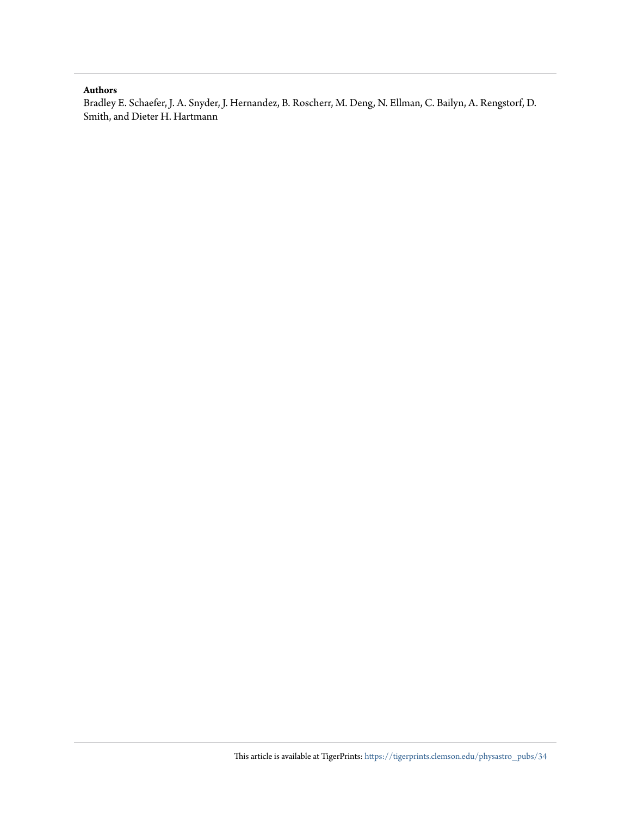#### **Authors**

Bradley E. Schaefer, J. A. Snyder, J. Hernandez, B. Roscherr, M. Deng, N. Ellman, C. Bailyn, A. Rengstorf, D. Smith, and Dieter H. Hartmann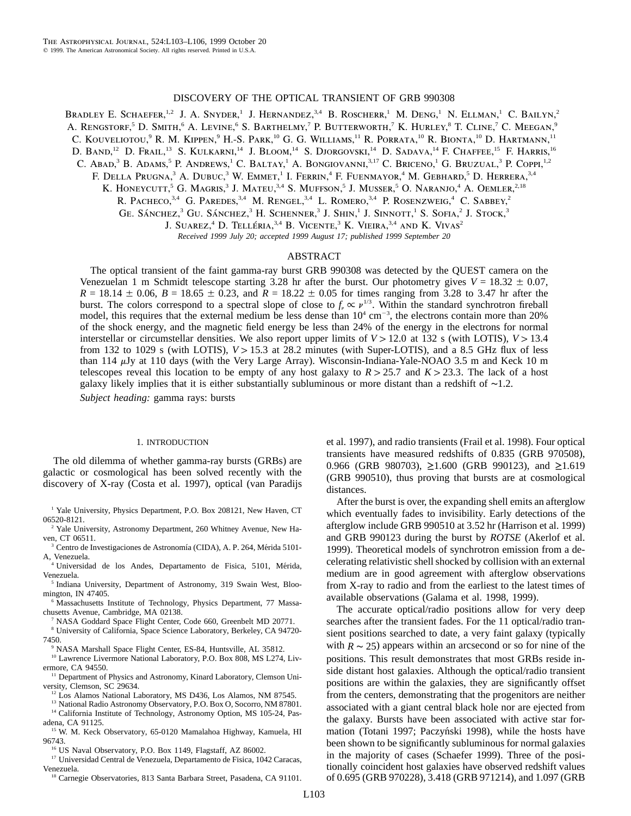#### DISCOVERY OF THE OPTICAL TRANSIENT OF GRB 990308

BRADLEY E. SCHAEFER,<sup>1,2</sup> J. A. SNYDER,<sup>1</sup> J. HERNANDEZ,<sup>3,4</sup> B. ROSCHERR,<sup>1</sup> M. DENG,<sup>1</sup> N. ELLMAN,<sup>1</sup> C. BAILYN,<sup>2</sup> A. RENGSTORF,<sup>5</sup> D. SMITH,<sup>6</sup> A. LEVINE,<sup>6</sup> S. BARTHELMY,<sup>7</sup> P. BUTTERWORTH,<sup>7</sup> K. HURLEY,<sup>8</sup> T. CLINE,<sup>7</sup> C. MEEGAN,<sup>9</sup> C. KOUVELIOTOU,<sup>9</sup> R. M. KIPPEN,<sup>9</sup> H.-S. PARK,<sup>10</sup> G. G. WILLIAMS,<sup>11</sup> R. PORRATA,<sup>10</sup> R. BIONTA,<sup>10</sup> D. HARTMANN,<sup>11</sup> D. Band,<sup>12</sup> D. Frail,<sup>13</sup> S. Kulkarni,<sup>14</sup> J. Bloom,<sup>14</sup> S. Djorgovski,<sup>14</sup> D. Sadava,<sup>14</sup> F. Chaffee,<sup>15</sup> F. Harris,<sup>16</sup> C. Abad,<sup>3</sup> B. Adams,<sup>5</sup> P. Andrews,<sup>1</sup> C. Baltay,<sup>1</sup> A. Bongiovanni,<sup>3,17</sup> C. Briceno,<sup>1</sup> G. Bruzual,<sup>3</sup> P. Coppi,<sup>1,2</sup> F. DELLA PRUGNA,<sup>3</sup> A. DUBUC,<sup>3</sup> W. EMMET,<sup>1</sup> I. FERRIN,<sup>4</sup> F. FUENMAYOR,<sup>4</sup> M. GEBHARD,<sup>5</sup> D. HERRERA,<sup>3,4</sup> K. HONEYCUTT,<sup>5</sup> G. MAGRIS,<sup>3</sup> J. MATEU,<sup>3,4</sup> S. MUFFSON,<sup>5</sup> J. MUSSER,<sup>5</sup> O. NARANJO,<sup>4</sup> A. OEMLER,<sup>2,18</sup>

R. PACHECO,  $3,4$  G. PAREDES,  $3,4$  M. RENGEL,  $3,4$  L. ROMERO,  $3,4$  P. ROSENZWEIG, C. SABBEY, 2

GE. SÁNCHEZ,<sup>3</sup> GU. SÁNCHEZ,<sup>3</sup> H. SCHENNER,<sup>3</sup> J. SHIN,<sup>1</sup> J. SINNOTT,<sup>1</sup> S. SOFIA,<sup>2</sup> J. Stock,<sup>3</sup>

J. SUAREZ,<sup>4</sup> D. TELLÉRIA,<sup>3,4</sup> B. VICENTE,<sup>3</sup> K. VIEIRA,<sup>3,4</sup> AND K. VIVAS<sup>2</sup>

*Received 1999 July 20; accepted 1999 August 17; published 1999 September 20*

#### ABSTRACT

The optical transient of the faint gamma-ray burst GRB 990308 was detected by the QUEST camera on the Venezuelan 1 m Schmidt telescope starting 3.28 hr after the burst. Our photometry gives  $V = 18.32 \pm 0.07$ ,  $R = 18.14 \pm 0.06$ ,  $B = 18.65 \pm 0.23$ , and  $R = 18.22 \pm 0.05$  for times ranging from 3.28 to 3.47 hr after the burst. The colors correspond to a spectral slope of close to  $f_{\nu} \propto \nu^{1/3}$ . Within the standard synchrotron fireball model, this requires that the external medium be less dense than  $10^4 \text{ cm}^{-3}$ , the electrons contain more than 20% of the shock energy, and the magnetic field energy be less than 24% of the energy in the electrons for normal interstellar or circumstellar densities. We also report upper limits of  $V > 12.0$  at 132 s (with LOTIS),  $V > 13.4$ from 132 to 1029 s (with LOTIS),  $V > 15.3$  at 28.2 minutes (with Super-LOTIS), and a 8.5 GHz flux of less than 114  $\mu$ Jy at 110 days (with the Very Large Array). Wisconsin-Indiana-Yale-NOAO 3.5 m and Keck 10 m telescopes reveal this location to be empty of any host galaxy to  $R > 25.7$  and  $K > 23.3$ . The lack of a host galaxy likely implies that it is either substantially subluminous or more distant than a redshift of ∼1.2.

*Subject heading:* gamma rays: bursts

#### 1. INTRODUCTION

The old dilemma of whether gamma-ray bursts (GRBs) are galactic or cosmological has been solved recently with the discovery of X-ray (Costa et al. 1997), optical (van Paradijs

<sup>1</sup> Yale University, Physics Department, P.O. Box 208121, New Haven, CT 06520-8121.

- <sup>2</sup> Yale University, Astronomy Department, 260 Whitney Avenue, New Haven, CT 06511.
- <sup>3</sup> Centro de Investigaciones de Astronomía (CIDA), A. P. 264, Mérida 5101-A, Venezuela.
- <sup>4</sup> Universidad de los Andes, Departamento de Fisica, 5101, Mérida, Venezuela.
- <sup>5</sup> Indiana University, Department of Astronomy, 319 Swain West, Bloomington, IN 47405.
- <sup>6</sup> Massachusetts Institute of Technology, Physics Department, 77 Massachusetts Avenue, Cambridge, MA 02138.
	- <sup>7</sup> NASA Goddard Space Flight Center, Code 660, Greenbelt MD 20771.
- <sup>8</sup> University of California, Space Science Laboratory, Berkeley, CA 94720- 7450.
- NASA Marshall Space Flight Center, ES-84, Huntsville, AL 35812.
- <sup>10</sup> Lawrence Livermore National Laboratory, P.O. Box 808, MS L274, Livermore, CA 94550.
- <sup>11</sup> Department of Physics and Astronomy, Kinard Laboratory, Clemson University, Clemson, SC 29634.
	- <sup>12</sup> Los Alamos National Laboratory, MS D436, Los Alamos, NM 87545.
	- <sup>13</sup> National Radio Astronomy Observatory, P.O. Box O, Socorro, NM 87801.

<sup>14</sup> California Institute of Technology, Astronomy Option, MS 105-24, Pasadena, CA 91125.

- <sup>15</sup> W. M. Keck Observatory, 65-0120 Mamalahoa Highway, Kamuela, HI 96743.
	- <sup>16</sup> US Naval Observatory, P.O. Box 1149, Flagstaff, AZ 86002.

<sup>17</sup> Universidad Central de Venezuela, Departamento de Fisica, 1042 Caracas, Venezuela.

<sup>18</sup> Carnegie Observatories, 813 Santa Barbara Street, Pasadena, CA 91101.

et al. 1997), and radio transients (Frail et al. 1998). Four optical transients have measured redshifts of 0.835 (GRB 970508), 0.966 (GRB 980703),  $\geq$ 1.600 (GRB 990123), and  $\geq$ 1.619 (GRB 990510), thus proving that bursts are at cosmological distances.

After the burst is over, the expanding shell emits an afterglow which eventually fades to invisibility. Early detections of the afterglow include GRB 990510 at 3.52 hr (Harrison et al. 1999) and GRB 990123 during the burst by *ROTSE* (Akerlof et al. 1999). Theoretical models of synchrotron emission from a decelerating relativistic shell shocked by collision with an external medium are in good agreement with afterglow observations from X-ray to radio and from the earliest to the latest times of available observations (Galama et al. 1998, 1999).

The accurate optical/radio positions allow for very deep searches after the transient fades. For the 11 optical/radio transient positions searched to date, a very faint galaxy (typically with  $R \sim 25$ ) appears within an arcsecond or so for nine of the positions. This result demonstrates that most GRBs reside inside distant host galaxies. Although the optical/radio transient positions are within the galaxies, they are significantly offset from the centers, demonstrating that the progenitors are neither associated with a giant central black hole nor are ejected from the galaxy. Bursts have been associated with active star formation (Totani 1997; Paczyński 1998), while the hosts have been shown to be significantly subluminous for normal galaxies in the majority of cases (Schaefer 1999). Three of the positionally coincident host galaxies have observed redshift values of 0.695 (GRB 970228), 3.418 (GRB 971214), and 1.097 (GRB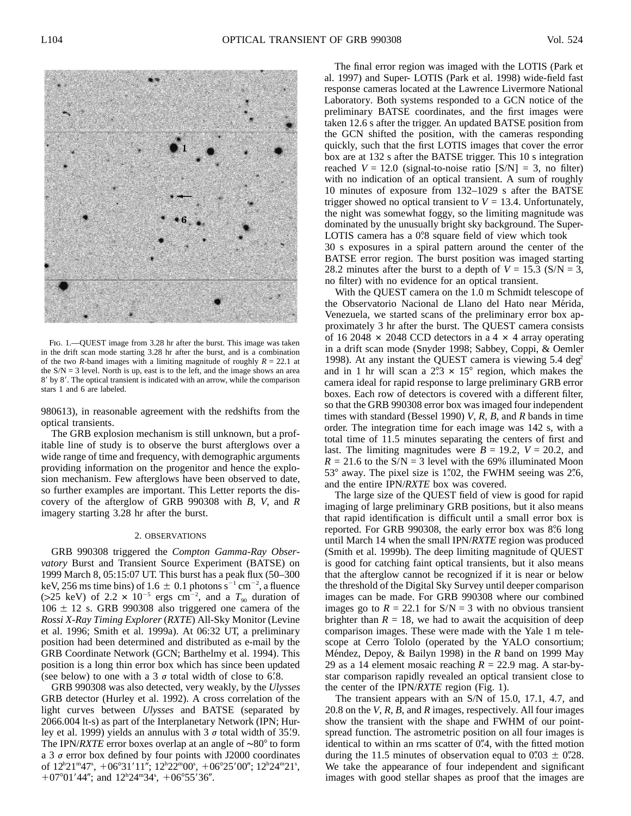

Fig. 1.—QUEST image from 3.28 hr after the burst. This image was taken in the drift scan mode starting 3.28 hr after the burst, and is a combination of the two *R*-band images with a limiting magnitude of roughly  $R = 22.1$  at the  $S/N = 3$  level. North is up, east is to the left, and the image shows an area 8' by 8'. The optical transient is indicated with an arrow, while the comparison stars 1 and 6 are labeled.

980613), in reasonable agreement with the redshifts from the optical transients.

The GRB explosion mechanism is still unknown, but a profitable line of study is to observe the burst afterglows over a wide range of time and frequency, with demographic arguments providing information on the progenitor and hence the explosion mechanism. Few afterglows have been observed to date, so further examples are important. This Letter reports the discovery of the afterglow of GRB 990308 with *B*, *V*, and *R* imagery starting 3.28 hr after the burst.

#### 2. OBSERVATIONS

GRB 990308 triggered the *Compton Gamma-Ray Observatory* Burst and Transient Source Experiment (BATSE) on 1999 March 8, 05:15:07 UT. This burst has a peak flux (50–300 keV, 256 ms time bins) of 1.6  $\pm$  0.1 photons s<sup>-1</sup> cm<sup>-2</sup>, a fluence (>25 keV) of 2.2  $\times$  10<sup>-5</sup> ergs cm<sup>-2</sup>, and a  $T_{90}$  duration of  $106 \pm 12$  s. GRB 990308 also triggered one camera of the *Rossi X-Ray Timing Explorer* (*RXTE*) All-Sky Monitor (Levine et al. 1996; Smith et al. 1999a). At 06:32 UT, a preliminary position had been determined and distributed as e-mail by the GRB Coordinate Network (GCN; Barthelmy et al. 1994). This position is a long thin error box which has since been updated (see below) to one with a 3  $\sigma$  total width of close to 6.8.

GRB 990308 was also detected, very weakly, by the *Ulysses* GRB detector (Hurley et al. 1992). A cross correlation of the light curves between *Ulysses* and BATSE (separated by 2066.004 lt-s) as part of the Interplanetary Network (IPN; Hurley et al. 1999) yields an annulus with  $3 \sigma$  total width of 35.9. The IPN/*RXTE* error boxes overlap at an angle of ~80° to form a 3  $\sigma$  error box defined by four points with J2000 coordinates of  $12^{\text{h}}21^{\text{m}}47^{\text{s}}, +06^{\circ}31'11''$ ;  $12^{\text{h}}22^{\text{m}}00^{\text{s}}, +06^{\circ}25'00''$ ;  $12^{\text{h}}24^{\text{m}}21^{\text{s}}$ , +07°01'44"; and  $12^{\text{h}}24^{\text{m}}34^{\text{s}}$ , +06°55'36".

The final error region was imaged with the LOTIS (Park et al. 1997) and Super- LOTIS (Park et al. 1998) wide-field fast response cameras located at the Lawrence Livermore National Laboratory. Both systems responded to a GCN notice of the preliminary BATSE coordinates, and the first images were taken 12.6 s after the trigger. An updated BATSE position from the GCN shifted the position, with the cameras responding quickly, such that the first LOTIS images that cover the error box are at 132 s after the BATSE trigger. This 10 s integration reached  $V = 12.0$  (signal-to-noise ratio  $[S/N] = 3$ , no filter) with no indication of an optical transient. A sum of roughly 10 minutes of exposure from 132–1029 s after the BATSE trigger showed no optical transient to  $V = 13.4$ . Unfortunately, the night was somewhat foggy, so the limiting magnitude was dominated by the unusually bright sky background. The Super-LOTIS camera has a 0.8 square field of view which took 30 s exposures in a spiral pattern around the center of the

BATSE error region. The burst position was imaged starting 28.2 minutes after the burst to a depth of  $V = 15.3$  (S/N = 3, no filter) with no evidence for an optical transient.

With the QUEST camera on the 1.0 m Schmidt telescope of the Observatorio Nacional de Llano del Hato near Mérida, Venezuela, we started scans of the preliminary error box approximately 3 hr after the burst. The QUEST camera consists of 16 2048  $\times$  2048 CCD detectors in a 4  $\times$  4 array operating in a drift scan mode (Snyder 1998; Sabbey, Coppi, & Oemler 1998). At any instant the QUEST camera is viewing  $5.4 \text{ deg}^2$ and in 1 hr will scan a  $2.3 \times 15^{\circ}$  region, which makes the camera ideal for rapid response to large preliminary GRB error boxes. Each row of detectors is covered with a different filter, so that the GRB 990308 error box was imaged four independent times with standard (Bessel 1990) *V*, *R*, *B*, and *R* bands in time order. The integration time for each image was 142 s, with a total time of 11.5 minutes separating the centers of first and last. The limiting magnitudes were  $B = 19.2$ ,  $V = 20.2$ , and  $R = 21.6$  to the S/N = 3 level with the 69% illuminated Moon  $53^{\circ}$  away. The pixel size is 1.02, the FWHM seeing was 2.6, and the entire IPN/*RXTE* box was covered.

The large size of the QUEST field of view is good for rapid imaging of large preliminary GRB positions, but it also means that rapid identification is difficult until a small error box is reported. For GRB 990308, the early error box was 8.6 long until March 14 when the small IPN/*RXTE* region was produced (Smith et al. 1999b). The deep limiting magnitude of QUEST is good for catching faint optical transients, but it also means that the afterglow cannot be recognized if it is near or below the threshold of the Digital Sky Survey until deeper comparison images can be made. For GRB 990308 where our combined images go to  $R = 22.1$  for  $S/N = 3$  with no obvious transient brighter than  $R = 18$ , we had to await the acquisition of deep comparison images. These were made with the Yale 1 m telescope at Cerro Tololo (operated by the YALO consortium; Méndez, Depoy, & Bailyn 1998) in the *R* band on 1999 May 29 as a 14 element mosaic reaching  $R = 22.9$  mag. A star-bystar comparison rapidly revealed an optical transient close to the center of the IPN/*RXTE* region (Fig. 1).

The transient appears with an S/N of 15.0, 17.1, 4.7, and 20.8 on the *V*, *R*, *B*, and *R* images, respectively. All four images show the transient with the shape and FWHM of our pointspread function. The astrometric position on all four images is identical to within an rms scatter of  $0\rlap{.}^{\prime\prime}4$ , with the fitted motion during the 11.5 minutes of observation equal to  $0\rlap.{''}03 \pm 0\rlap.{''}28$ . We take the appearance of four independent and significant images with good stellar shapes as proof that the images are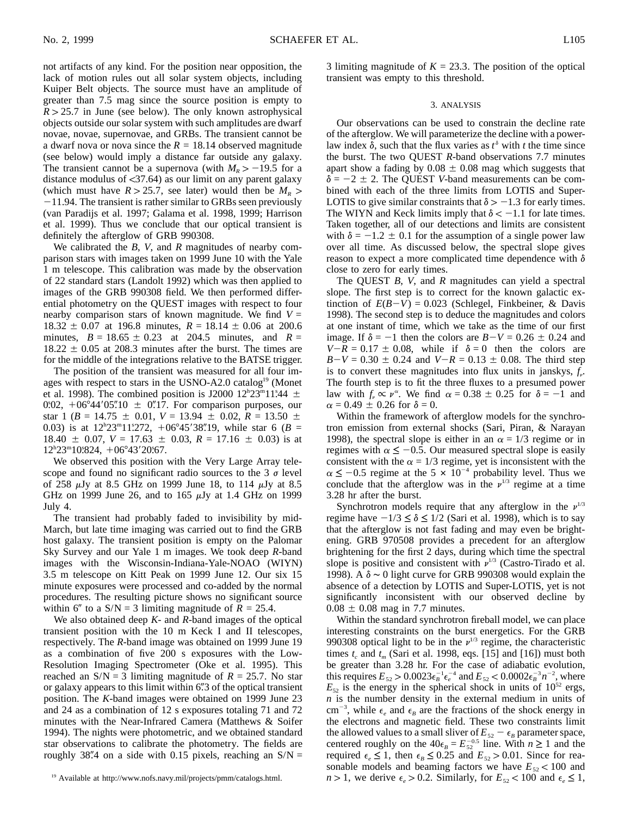not artifacts of any kind. For the position near opposition, the lack of motion rules out all solar system objects, including Kuiper Belt objects. The source must have an amplitude of greater than 7.5 mag since the source position is empty to  $R > 25.7$  in June (see below). The only known astrophysical objects outside our solar system with such amplitudes are dwarf novae, novae, supernovae, and GRBs. The transient cannot be a dwarf nova or nova since the  $R = 18.14$  observed magnitude (see below) would imply a distance far outside any galaxy. The transient cannot be a supernova (with  $M_R > -19.5$  for a distance modulus of  $\langle 37.64 \rangle$  as our limit on any parent galaxy (which must have  $R > 25.7$ , see later) would then be  $M_R >$  $-11.94$ . The transient is rather similar to GRBs seen previously (van Paradijs et al. 1997; Galama et al. 1998, 1999; Harrison et al. 1999). Thus we conclude that our optical transient is definitely the afterglow of GRB 990308.

We calibrated the *B*, *V*, and *R* magnitudes of nearby comparison stars with images taken on 1999 June 10 with the Yale 1 m telescope. This calibration was made by the observation of 22 standard stars (Landolt 1992) which was then applied to images of the GRB 990308 field. We then performed differential photometry on the QUEST images with respect to four nearby comparison stars of known magnitude. We find  $V =$  $18.32 \pm 0.07$  at 196.8 minutes,  $R = 18.14 \pm 0.06$  at 200.6 minutes,  $B = 18.65 \pm 0.23$  at 204.5 minutes, and  $R =$  $18.22 \pm 0.05$  at 208.3 minutes after the burst. The times are for the middle of the integrations relative to the BATSE trigger.

The position of the transient was measured for all four images with respect to stars in the USNO-A2.0 catalog<sup>19</sup> (Monet et al. 1998). The combined position is J2000  $12^{\text{h}}23^{\text{m}}11^{\text{s}}44 \pm \frac{1}{2}$ 0.02,  $+06^{\circ}44'05''10 \pm 0''17$ . For comparison purposes, our star 1 ( $B = 14.75 \pm 0.01$ ,  $V = 13.94 \pm 0.02$ ,  $R = 13.50 \pm 0.02$ 0.03) is at  $12^{h}23^{m}11^{s}272$ ,  $+06^{o}45'38''19$ , while star 6 (*B* =  $18.40 \pm 0.07$ ,  $V = 17.63 \pm 0.03$ ,  $R = 17.16 \pm 0.03$ ) is at 12<sup>h</sup>23<sup>m</sup>10.824, +06°43'20.67.

We observed this position with the Very Large Array telescope and found no significant radio sources to the 3  $\sigma$  level of 258  $\mu$ Jy at 8.5 GHz on 1999 June 18, to 114  $\mu$ Jy at 8.5 GHz on 1999 June 26, and to 165  $\mu$ Jy at 1.4 GHz on 1999 July 4.

The transient had probably faded to invisibility by mid-March, but late time imaging was carried out to find the GRB host galaxy. The transient position is empty on the Palomar Sky Survey and our Yale 1 m images. We took deep *R*-band images with the Wisconsin-Indiana-Yale-NOAO (WIYN) 3.5 m telescope on Kitt Peak on 1999 June 12. Our six 15 minute exposures were processed and co-added by the normal procedures. The resulting picture shows no significant source within 6<sup>*''*</sup> to a  $S/N = 3$  limiting magnitude of  $R = 25.4$ .

We also obtained deep *K*- and *R*-band images of the optical transient position with the 10 m Keck I and II telescopes, respectively. The *R*-band image was obtained on 1999 June 19 as a combination of five 200 s exposures with the Low-Resolution Imaging Spectrometer (Oke et al. 1995). This reached an  $S/N = 3$  limiting magnitude of  $R = 25.7$ . No star or galaxy appears to this limit within 6. 3 of the optical transient position. The *K*-band images were obtained on 1999 June 23 and 24 as a combination of 12 s exposures totaling 71 and 72 minutes with the Near-Infrared Camera (Matthews & Soifer 1994). The nights were photometric, and we obtained standard star observations to calibrate the photometry. The fields are roughly 38".4 on a side with 0.15 pixels, reaching an  $S/N =$  3 limiting magnitude of  $K = 23.3$ . The position of the optical transient was empty to this threshold.

#### 3. ANALYSIS

Our observations can be used to constrain the decline rate of the afterglow. We will parameterize the decline with a powerlaw index  $\delta$ , such that the flux varies as  $t^{\delta}$  with *t* the time since the burst. The two QUEST *R*-band observations 7.7 minutes apart show a fading by  $0.08 \pm 0.08$  mag which suggests that  $\delta = -2 \pm 2$ . The QUEST *V*-band measurements can be combined with each of the three limits from LOTIS and Super-LOTIS to give similar constraints that  $\delta > -1.3$  for early times. The WIYN and Keck limits imply that  $\delta < -1.1$  for late times. Taken together, all of our detections and limits are consistent with  $\delta = -1.2 \pm 0.1$  for the assumption of a single power law over all time. As discussed below, the spectral slope gives reason to expect a more complicated time dependence with  $\delta$ close to zero for early times.

The QUEST *B*, *V*, and *R* magnitudes can yield a spectral slope. The first step is to correct for the known galactic extinction of  $E(B-V) = 0.023$  (Schlegel, Finkbeiner, & Davis 1998). The second step is to deduce the magnitudes and colors at one instant of time, which we take as the time of our first image. If  $\delta = -1$  then the colors are  $B-V = 0.26 \pm 0.24$  and  $V-R = 0.17 \pm 0.08$ , while if  $\delta = 0$  then the colors are  $B-V = 0.30 \pm 0.24$  and  $V-R = 0.13 \pm 0.08$ . The third step is to convert these magnitudes into flux units in janskys,  $f<sub>r</sub>$ . The fourth step is to fit the three fluxes to a presumed power law with  $f_\nu \propto \nu^\alpha$ . We find  $\alpha = 0.38 \pm 0.25$  for  $\delta = -1$  and  $\alpha = 0.49 \pm 0.26$  for  $\delta = 0$ .

Within the framework of afterglow models for the synchrotron emission from external shocks (Sari, Piran, & Narayan 1998), the spectral slope is either in an  $\alpha = 1/3$  regime or in regimes with  $\alpha \leq -0.5$ . Our measured spectral slope is easily consistent with the  $\alpha = 1/3$  regime, yet is inconsistent with the  $\alpha \leq -0.5$  regime at the 5  $\times 10^{-4}$  probability level. Thus we conclude that the afterglow was in the  $v^{1/3}$  regime at a time 3.28 hr after the burst.

Synchrotron models require that any afterglow in the  $v^{1/3}$ regime have  $-1/3 \le \delta \le 1/2$  (Sari et al. 1998), which is to say that the afterglow is not fast fading and may even be brightening. GRB 970508 provides a precedent for an afterglow brightening for the first 2 days, during which time the spectral slope is positive and consistent with  $\nu^{1/3}$  (Castro-Tirado et al. 1998). A  $\delta$  ∼ 0 light curve for GRB 990308 would explain the absence of a detection by LOTIS and Super-LOTIS, yet is not significantly inconsistent with our observed decline by  $0.08 \pm 0.08$  mag in 7.7 minutes.

Within the standard synchrotron fireball model, we can place interesting constraints on the burst energetics. For the GRB 990308 optical light to be in the  $\nu^{1/3}$  regime, the characteristic times  $t_c$  and  $t_m$  (Sari et al. 1998, eqs. [15] and [16]) must both be greater than 3.28 hr. For the case of adiabatic evolution, this requires  $E_{52} > 0.0023 \epsilon_B^{-1} \epsilon_e^{-4}$  and  $E_{52} < 0.0002 \epsilon_B^{-3} n^{-2}$ , where  $E_{52}$  is the energy in the spherical shock in units of  $10^{52}$  ergs, *n* is the number density in the external medium in units of cm<sup>-3</sup>, while  $\epsilon_e$  and  $\epsilon_B$  are the fractions of the shock energy in the electrons and magnetic field. These two constraints limit the allowed values to a small sliver of  $E_{52} - \epsilon_B$  parameter space, centered roughly on the  $40\epsilon_B = E_{52}^{-0.5}$  line. With  $n \ge 1$  and the required  $\epsilon_e \leq 1$ , then  $\epsilon_B \leq 0.25$  and  $E_{52} > 0.01$ . Since for reasonable models and beaming factors we have  $E_{52}$  < 100 and  $n > 1$ , we derive  $\epsilon_e > 0.2$ . Similarly, for  $E_{52} < 100$  and  $\epsilon_e \le 1$ ,

<sup>19</sup> Available at http://www.nofs.navy.mil/projects/pmm/catalogs.html.